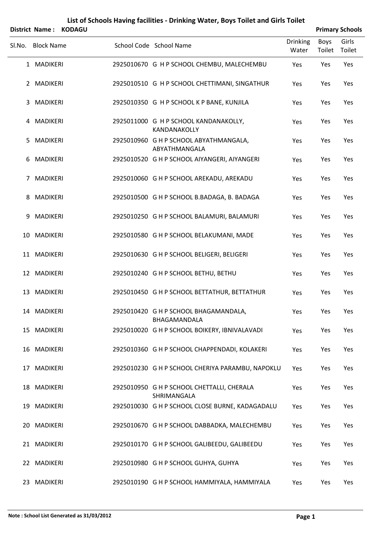|        | District Name:    | <b>KODAGU</b> |                                                              |                          |                | <b>Primary Schools</b> |
|--------|-------------------|---------------|--------------------------------------------------------------|--------------------------|----------------|------------------------|
| SI.No. | <b>Block Name</b> |               | School Code School Name                                      | <b>Drinking</b><br>Water | Boys<br>Toilet | Girls<br>Toilet        |
|        | 1 MADIKERI        |               | 2925010670 G H P SCHOOL CHEMBU, MALECHEMBU                   | Yes                      | Yes            | Yes                    |
|        | 2 MADIKERI        |               | 2925010510 G H P SCHOOL CHETTIMANI, SINGATHUR                | Yes                      | Yes            | Yes                    |
| 3      | MADIKERI          |               | 2925010350 G H P SCHOOL K P BANE, KUNJILA                    | Yes                      | Yes            | Yes                    |
|        | 4 MADIKERI        |               | 2925011000 G H P SCHOOL KANDANAKOLLY,<br><b>KANDANAKOLLY</b> | Yes                      | Yes            | Yes                    |
| 5.     | MADIKERI          |               | 2925010960 G H P SCHOOL ABYATHMANGALA,<br>ABYATHMANGALA      | Yes                      | Yes            | Yes                    |
| 6      | MADIKERI          |               | 2925010520 G H P SCHOOL AIYANGERI, AIYANGERI                 | Yes                      | Yes            | Yes                    |
| 7      | MADIKERI          |               | 2925010060 G H P SCHOOL AREKADU, AREKADU                     | Yes                      | Yes            | Yes                    |
| 8      | MADIKERI          |               | 2925010500 G H P SCHOOL B.BADAGA, B. BADAGA                  | Yes                      | Yes            | Yes                    |
| 9      | MADIKERI          |               | 2925010250 G H P SCHOOL BALAMURI, BALAMURI                   | Yes                      | Yes            | Yes                    |
|        | 10 MADIKERI       |               | 2925010580 G H P SCHOOL BELAKUMANI, MADE                     | Yes                      | Yes            | Yes                    |
|        | 11 MADIKERI       |               | 2925010630 G H P SCHOOL BELIGERI, BELIGERI                   | Yes                      | Yes            | Yes                    |
|        | 12 MADIKERI       |               | 2925010240 G H P SCHOOL BETHU, BETHU                         | Yes                      | Yes            | Yes                    |
|        | 13 MADIKERI       |               | 2925010450 G H P SCHOOL BETTATHUR, BETTATHUR                 | Yes                      | Yes            | Yes                    |
|        | 14 MADIKERI       |               | 2925010420 G H P SCHOOL BHAGAMANDALA,<br>BHAGAMANDALA        | Yes                      | Yes            | Yes                    |
|        | 15 MADIKERI       |               | 2925010020 G H P SCHOOL BOIKERY, IBNIVALAVADI                | Yes                      | Yes            | Yes                    |
|        | 16 MADIKERI       |               | 2925010360 G H P SCHOOL CHAPPENDADI, KOLAKERI                | Yes                      | Yes            | Yes                    |
|        | 17 MADIKERI       |               | 2925010230 G H P SCHOOL CHERIYA PARAMBU, NAPOKLU             | Yes                      | Yes            | Yes                    |
|        | 18 MADIKERI       |               | 2925010950 G H P SCHOOL CHETTALLI, CHERALA<br>SHRIMANGALA    | Yes                      | Yes            | Yes                    |
|        | 19 MADIKERI       |               | 2925010030 G H P SCHOOL CLOSE BURNE, KADAGADALU              | Yes                      | Yes            | Yes                    |
|        | 20 MADIKERI       |               | 2925010670 G H P SCHOOL DABBADKA, MALECHEMBU                 | Yes                      | Yes            | Yes                    |
|        | 21 MADIKERI       |               | 2925010170 G H P SCHOOL GALIBEEDU, GALIBEEDU                 | Yes                      | Yes            | Yes                    |
|        | 22 MADIKERI       |               | 2925010980 G H P SCHOOL GUHYA, GUHYA                         | Yes                      | Yes            | Yes                    |
|        | 23 MADIKERI       |               | 2925010190 G H P SCHOOL HAMMIYALA, HAMMIYALA                 | Yes                      | Yes            | Yes                    |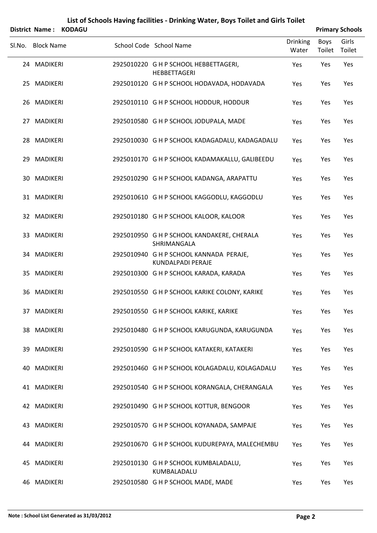|        |                   | District Name: KODAGU |                                                              |                          |                | <b>Primary Schools</b> |
|--------|-------------------|-----------------------|--------------------------------------------------------------|--------------------------|----------------|------------------------|
| Sl.No. | <b>Block Name</b> |                       | School Code School Name                                      | <b>Drinking</b><br>Water | Boys<br>Toilet | Girls<br>Toilet        |
|        | 24 MADIKERI       |                       | 2925010220 G H P SCHOOL HEBBETTAGERI,<br><b>HEBBETTAGERI</b> | Yes                      | Yes            | Yes                    |
|        | 25 MADIKERI       |                       | 2925010120 G H P SCHOOL HODAVADA, HODAVADA                   | Yes                      | Yes            | Yes                    |
|        | 26 MADIKERI       |                       | 2925010110 G H P SCHOOL HODDUR, HODDUR                       | Yes                      | Yes            | Yes                    |
|        | 27 MADIKERI       |                       | 2925010580 G H P SCHOOL JODUPALA, MADE                       | Yes                      | Yes            | Yes                    |
|        | 28 MADIKERI       |                       | 2925010030 G H P SCHOOL KADAGADALU, KADAGADALU               | Yes                      | Yes            | Yes                    |
|        | 29 MADIKERI       |                       | 2925010170 G H P SCHOOL KADAMAKALLU, GALIBEEDU               | Yes                      | Yes            | Yes                    |
|        | 30 MADIKERI       |                       | 2925010290 G H P SCHOOL KADANGA, ARAPATTU                    | Yes                      | Yes            | Yes                    |
|        | 31 MADIKERI       |                       | 2925010610 G H P SCHOOL KAGGODLU, KAGGODLU                   | Yes                      | Yes            | Yes                    |
|        | 32 MADIKERI       |                       | 2925010180 G H P SCHOOL KALOOR, KALOOR                       | Yes                      | Yes            | Yes                    |
|        | 33 MADIKERI       |                       | 2925010950 G H P SCHOOL KANDAKERE, CHERALA<br>SHRIMANGALA    | Yes                      | Yes            | Yes                    |
|        | 34 MADIKERI       |                       | 2925010940 G H P SCHOOL KANNADA PERAJE,<br>KUNDALPADI PERAJE | Yes                      | Yes            | Yes                    |
|        | 35 MADIKERI       |                       | 2925010300 G H P SCHOOL KARADA, KARADA                       | Yes                      | Yes            | Yes                    |
|        | 36 MADIKERI       |                       | 2925010550 G H P SCHOOL KARIKE COLONY, KARIKE                | Yes                      | Yes            | Yes                    |
|        | 37 MADIKERI       |                       | 2925010550 G H P SCHOOL KARIKE, KARIKE                       | Yes                      | Yes            | Yes                    |
|        | 38 MADIKERI       |                       | 2925010480 G H P SCHOOL KARUGUNDA, KARUGUNDA                 | Yes                      | Yes            | Yes                    |
|        | 39 MADIKERI       |                       | 2925010590 G H P SCHOOL KATAKERI, KATAKERI                   | Yes                      | Yes            | Yes                    |
|        | 40 MADIKERI       |                       | 2925010460 G H P SCHOOL KOLAGADALU, KOLAGADALU               | Yes                      | Yes            | Yes                    |
|        | 41 MADIKERI       |                       | 2925010540 G H P SCHOOL KORANGALA, CHERANGALA                | Yes                      | Yes            | Yes                    |
|        | 42 MADIKERI       |                       | 2925010490 G H P SCHOOL KOTTUR, BENGOOR                      | Yes                      | Yes            | Yes                    |
|        | 43 MADIKERI       |                       | 2925010570 G H P SCHOOL KOYANADA, SAMPAJE                    | Yes                      | Yes            | Yes                    |
|        | 44 MADIKERI       |                       | 2925010670 G H P SCHOOL KUDUREPAYA, MALECHEMBU               | Yes                      | Yes            | Yes                    |
|        | 45 MADIKERI       |                       | 2925010130 G H P SCHOOL KUMBALADALU,<br>KUMBALADALU          | Yes                      | Yes            | Yes                    |
|        | 46 MADIKERI       |                       | 2925010580 G H P SCHOOL MADE, MADE                           | Yes                      | Yes            | Yes                    |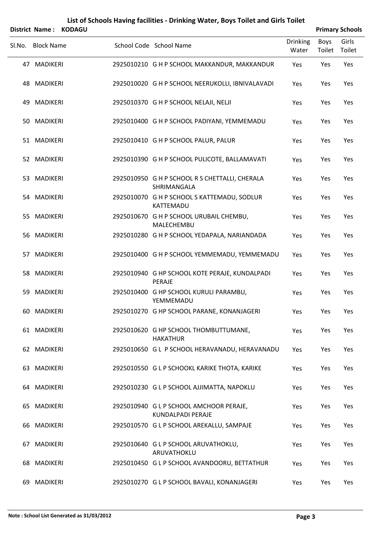|    | <b>District Name:</b> | <b>KODAGU</b> | List of Schools Having facilities - Drinking Water, Boys Toilet and Girls Toilet |                          |                       | <b>Primary Schools</b> |
|----|-----------------------|---------------|----------------------------------------------------------------------------------|--------------------------|-----------------------|------------------------|
|    | Sl.No. Block Name     |               | School Code School Name                                                          | <b>Drinking</b><br>Water | <b>Boys</b><br>Toilet | Girls<br>Toilet        |
|    | 47 MADIKERI           |               | 2925010210 G H P SCHOOL MAKKANDUR, MAKKANDUR                                     | Yes                      | Yes                   | Yes                    |
|    | 48 MADIKERI           |               | 2925010020 G H P SCHOOL NEERUKOLLI, IBNIVALAVADI                                 | Yes                      | Yes                   | Yes                    |
| 49 | <b>MADIKERI</b>       |               | 2925010370 G H P SCHOOL NELAJI, NELJI                                            | Yes                      | Yes                   | Yes                    |
|    | 50 MADIKERI           |               | 2925010400 G H P SCHOOL PADIYANI, YEMMEMADU                                      | Yes                      | Yes                   | Yes                    |
|    | 51 MADIKERI           |               | 2925010410 G H P SCHOOL PALUR, PALUR                                             | Yes                      | Yes                   | Yes                    |
|    | 52 MADIKERI           |               | 2925010390 G H P SCHOOL PULICOTE, BALLAMAVATI                                    | Yes                      | Yes                   | Yes                    |
|    | 53 MADIKERI           |               | 2925010950 G H P SCHOOL R S CHETTALLI, CHERALA<br>SHRIMANGALA                    | Yes                      | Yes                   | Yes                    |
|    | 54 MADIKERI           |               | 2925010070 G H P SCHOOL S KATTEMADU, SODLUR<br>KATTEMADU                         | Yes                      | Yes                   | Yes                    |
| 55 | MADIKERI              |               | 2925010670 G H P SCHOOL URUBAIL CHEMBU,<br>MALECHEMBU                            | Yes                      | Yes                   | Yes                    |
|    | 56 MADIKERI           |               | 2925010280 G H P SCHOOL YEDAPALA, NARIANDADA                                     | Yes                      | Yes                   | Yes                    |
|    | 57 MADIKERI           |               | 2925010400 G H P SCHOOL YEMMEMADU, YEMMEMADU                                     | Yes                      | Yes                   | Yes                    |
|    | 58 MADIKERI           |               | 2925010940 G HP SCHOOL KOTE PERAJE, KUNDALPADI<br>PERAJE                         | Yes                      | Yes                   | Yes                    |
| 59 | MADIKERI              |               | 2925010400 G HP SCHOOL KURULI PARAMBU,<br>YEMMEMADU                              | Yes                      | Yes                   | Yes                    |
|    | 60 MADIKERI           |               | 2925010270 G HP SCHOOL PARANE, KONANJAGERI                                       | Yes                      | Yes                   | Yes                    |
|    | 61 MADIKERI           |               | 2925010620 G HP SCHOOL THOMBUTTUMANE,<br><b>HAKATHUR</b>                         | Yes                      | Yes                   | Yes                    |
|    | 62 MADIKERI           |               | 2925010650 G L P SCHOOL HERAVANADU, HERAVANADU                                   | Yes                      | Yes                   | Yes                    |
|    | 63 MADIKERI           |               | 2925010550 G L P SCHOOKL KARIKE THOTA, KARIKE                                    | Yes                      | Yes                   | Yes                    |
|    | 64 MADIKERI           |               | 2925010230 G L P SCHOOL AJJIMATTA, NAPOKLU                                       | Yes                      | Yes                   | Yes                    |
|    | 65 MADIKERI           |               | 2925010940 G L P SCHOOL AMCHOOR PERAJE,<br>KUNDALPADI PERAJE                     | Yes                      | Yes                   | Yes                    |
|    | 66 MADIKERI           |               | 2925010570 G L P SCHOOL AREKALLU, SAMPAJE                                        | Yes                      | Yes                   | Yes                    |
|    | 67 MADIKERI           |               | 2925010640 G L P SCHOOL ARUVATHOKLU,<br>ARUVATHOKLU                              | Yes                      | Yes                   | Yes                    |
|    | 68 MADIKERI           |               | 2925010450 G L P SCHOOL AVANDOORU, BETTATHUR                                     | Yes                      | Yes                   | Yes                    |
|    | 69 MADIKERI           |               | 2925010270 G L P SCHOOL BAVALI, KONANJAGERI                                      | Yes                      | Yes                   | Yes                    |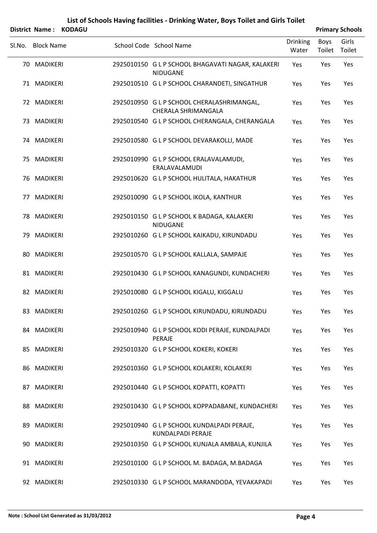|        | District Name:    | <b>KODAGU</b> |                                                                          |                          |                       | <b>Primary Schools</b> |
|--------|-------------------|---------------|--------------------------------------------------------------------------|--------------------------|-----------------------|------------------------|
| Sl.No. | <b>Block Name</b> |               | School Code School Name                                                  | <b>Drinking</b><br>Water | <b>Boys</b><br>Toilet | Girls<br>Toilet        |
|        | 70 MADIKERI       |               | 2925010150 G L P SCHOOL BHAGAVATI NAGAR, KALAKERI<br>NIDUGANE            | Yes                      | Yes                   | Yes                    |
|        | 71 MADIKERI       |               | 2925010510 G L P SCHOOL CHARANDETI, SINGATHUR                            | Yes                      | Yes                   | Yes                    |
|        | 72 MADIKERI       |               | 2925010950 G L P SCHOOL CHERALASHRIMANGAL,<br><b>CHERALA SHRIMANGALA</b> | Yes                      | Yes                   | Yes                    |
|        | 73 MADIKERI       |               | 2925010540 G L P SCHOOL CHERANGALA, CHERANGALA                           | Yes                      | Yes                   | Yes                    |
|        | 74 MADIKERI       |               | 2925010580 G L P SCHOOL DEVARAKOLLI, MADE                                | Yes                      | Yes                   | Yes                    |
|        | 75 MADIKERI       |               | 2925010990 G L P SCHOOL ERALAVALAMUDI,<br>ERALAVALAMUDI                  | Yes                      | Yes                   | Yes                    |
|        | 76 MADIKERI       |               | 2925010620 G L P SCHOOL HULITALA, HAKATHUR                               | Yes                      | Yes                   | Yes                    |
|        | 77 MADIKERI       |               | 2925010090 G L P SCHOOL IKOLA, KANTHUR                                   | Yes                      | Yes                   | Yes                    |
|        | 78 MADIKERI       |               | 2925010150 G L P SCHOOL K BADAGA, KALAKERI<br>NIDUGANE                   | Yes                      | Yes                   | Yes                    |
|        | 79 MADIKERI       |               | 2925010260 G L P SCHOOL KAIKADU, KIRUNDADU                               | Yes                      | Yes                   | Yes                    |
|        | 80 MADIKERI       |               | 2925010570 G L P SCHOOL KALLALA, SAMPAJE                                 | Yes                      | Yes                   | Yes                    |
|        | 81 MADIKERI       |               | 2925010430 G L P SCHOOL KANAGUNDI, KUNDACHERI                            | Yes                      | Yes                   | Yes                    |
|        | 82 MADIKERI       |               | 2925010080 G L P SCHOOL KIGALU, KIGGALU                                  | Yes                      | Yes                   | Yes                    |
|        | 83 MADIKERI       |               | 2925010260 G L P SCHOOL KIRUNDADU, KIRUNDADU                             | Yes                      | Yes                   | Yes                    |
|        | 84 MADIKERI       |               | 2925010940 G L P SCHOOL KODI PERAJE, KUNDALPADI<br>PERAJE                | Yes                      | Yes                   | Yes                    |
|        | 85 MADIKERI       |               | 2925010320 G L P SCHOOL KOKERI, KOKERI                                   | Yes                      | Yes                   | Yes                    |
|        | 86 MADIKERI       |               | 2925010360 G L P SCHOOL KOLAKERI, KOLAKERI                               | Yes                      | Yes                   | Yes                    |
|        | 87 MADIKERI       |               | 2925010440 GLP SCHOOL KOPATTI, KOPATTI                                   | Yes                      | Yes                   | Yes                    |
|        | 88 MADIKERI       |               | 2925010430 G L P SCHOOL KOPPADABANE, KUNDACHERI                          | Yes                      | Yes                   | Yes                    |
|        | 89 MADIKERI       |               | 2925010940 G L P SCHOOL KUNDALPADI PERAJE,<br>KUNDALPADI PERAJE          | Yes                      | Yes                   | Yes                    |
|        | 90 MADIKERI       |               | 2925010350 G L P SCHOOL KUNJALA AMBALA, KUNJILA                          | Yes                      | Yes                   | Yes                    |
|        | 91 MADIKERI       |               | 2925010100 G L P SCHOOL M. BADAGA, M.BADAGA                              | Yes                      | Yes                   | Yes                    |
|        | 92 MADIKERI       |               | 2925010330 G L P SCHOOL MARANDODA, YEVAKAPADI                            | Yes                      | Yes                   | Yes                    |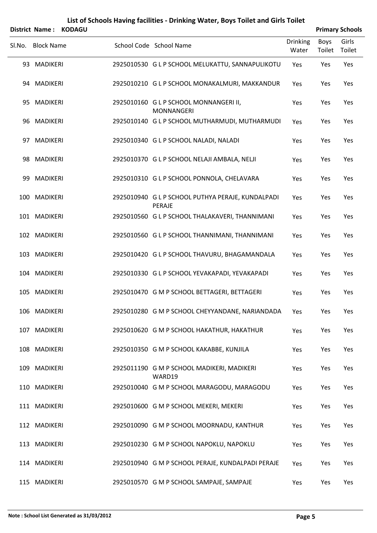| List of Schools Having facilities - Drinking Water, Boys Toilet and Girls Toilet |                       |               |  |                                                             |                          |                       |                        |  |  |  |
|----------------------------------------------------------------------------------|-----------------------|---------------|--|-------------------------------------------------------------|--------------------------|-----------------------|------------------------|--|--|--|
|                                                                                  | <b>District Name:</b> | <b>KODAGU</b> |  |                                                             |                          |                       | <b>Primary Schools</b> |  |  |  |
| Sl.No.                                                                           | <b>Block Name</b>     |               |  | School Code School Name                                     | <b>Drinking</b><br>Water | <b>Boys</b><br>Toilet | Girls<br>Toilet        |  |  |  |
|                                                                                  | 93 MADIKERI           |               |  | 2925010530 G L P SCHOOL MELUKATTU, SANNAPULIKOTU            | Yes                      | Yes                   | Yes                    |  |  |  |
|                                                                                  | 94 MADIKERI           |               |  | 2925010210 G L P SCHOOL MONAKALMURI, MAKKANDUR              | Yes                      | Yes                   | Yes                    |  |  |  |
|                                                                                  | 95 MADIKERI           |               |  | 2925010160 G L P SCHOOL MONNANGERI II,<br><b>MONNANGERI</b> | Yes                      | Yes                   | Yes                    |  |  |  |
|                                                                                  | 96 MADIKERI           |               |  | 2925010140 G L P SCHOOL MUTHARMUDI, MUTHARMUDI              | Yes                      | Yes                   | Yes                    |  |  |  |
|                                                                                  | 97 MADIKERI           |               |  | 2925010340 G L P SCHOOL NALADI, NALADI                      | Yes                      | Yes                   | Yes                    |  |  |  |
|                                                                                  | 98 MADIKERI           |               |  | 2925010370 G L P SCHOOL NELAJI AMBALA, NELJI                | Yes                      | Yes                   | Yes                    |  |  |  |
|                                                                                  | 99 MADIKERI           |               |  | 2925010310 G L P SCHOOL PONNOLA, CHELAVARA                  | Yes                      | Yes                   | Yes                    |  |  |  |
|                                                                                  | 100 MADIKERI          |               |  | 2925010940 G L P SCHOOL PUTHYA PERAJE, KUNDALPADI<br>PERAJE | Yes                      | Yes                   | Yes                    |  |  |  |
|                                                                                  | 101 MADIKERI          |               |  | 2925010560 G L P SCHOOL THALAKAVERI, THANNIMANI             | Yes                      | Yes                   | Yes                    |  |  |  |
|                                                                                  | 102 MADIKERI          |               |  | 2925010560 G L P SCHOOL THANNIMANI, THANNIMANI              | Yes                      | Yes                   | Yes                    |  |  |  |
|                                                                                  | 103 MADIKERI          |               |  | 2925010420 G L P SCHOOL THAVURU, BHAGAMANDALA               | Yes                      | Yes                   | Yes                    |  |  |  |
|                                                                                  | 104 MADIKERI          |               |  | 2925010330 G L P SCHOOL YEVAKAPADI, YEVAKAPADI              | Yes                      | Yes                   | Yes                    |  |  |  |
|                                                                                  | 105 MADIKERI          |               |  | 2925010470 G M P SCHOOL BETTAGERI, BETTAGERI                | Yes                      | Yes                   | Yes                    |  |  |  |
|                                                                                  | 106 MADIKERI          |               |  | 2925010280 G M P SCHOOL CHEYYANDANE, NARIANDADA             | Yes                      | Yes                   | Yes                    |  |  |  |
|                                                                                  | 107 MADIKERI          |               |  | 2925010620 G M P SCHOOL HAKATHUR, HAKATHUR                  | Yes                      | Yes                   | Yes                    |  |  |  |
|                                                                                  | 108 MADIKERI          |               |  | 2925010350 G M P SCHOOL KAKABBE, KUNJILA                    | Yes                      | Yes                   | Yes                    |  |  |  |
|                                                                                  | 109 MADIKERI          |               |  | 2925011190 G M P SCHOOL MADIKERI, MADIKERI<br>WARD19        | Yes                      | Yes                   | Yes                    |  |  |  |
|                                                                                  | 110 MADIKERI          |               |  | 2925010040 G M P SCHOOL MARAGODU, MARAGODU                  | Yes                      | Yes                   | Yes                    |  |  |  |
|                                                                                  | 111 MADIKERI          |               |  | 2925010600 G M P SCHOOL MEKERI, MEKERI                      | Yes                      | Yes                   | Yes                    |  |  |  |
|                                                                                  | 112 MADIKERI          |               |  | 2925010090 G M P SCHOOL MOORNADU, KANTHUR                   | Yes                      | Yes                   | Yes                    |  |  |  |
|                                                                                  | 113 MADIKERI          |               |  | 2925010230 G M P SCHOOL NAPOKLU, NAPOKLU                    | Yes                      | Yes                   | Yes                    |  |  |  |
|                                                                                  | 114 MADIKERI          |               |  | 2925010940 G M P SCHOOL PERAJE, KUNDALPADI PERAJE           | Yes                      | Yes                   | Yes                    |  |  |  |
|                                                                                  | 115 MADIKERI          |               |  | 2925010570 G M P SCHOOL SAMPAJE, SAMPAJE                    | Yes                      | Yes                   | Yes                    |  |  |  |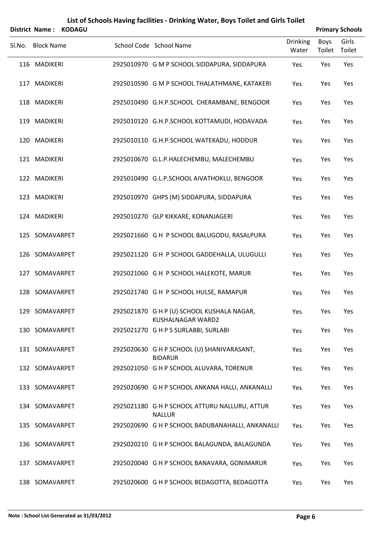|        | <b>District Name:</b> | <b>KODAGU</b> |                                                                 |                          |                | <b>Primary Schools</b> |
|--------|-----------------------|---------------|-----------------------------------------------------------------|--------------------------|----------------|------------------------|
| Sl.No. | <b>Block Name</b>     |               | School Code School Name                                         | <b>Drinking</b><br>Water | Boys<br>Toilet | Girls<br>Toilet        |
|        | 116 MADIKERI          |               | 2925010970 G M P SCHOOL SIDDAPURA, SIDDAPURA                    | Yes                      | Yes            | Yes                    |
|        | 117 MADIKERI          |               | 2925010590 G M P SCHOOL THALATHMANE, KATAKERI                   | Yes                      | Yes            | Yes                    |
|        | 118 MADIKERI          |               | 2925010490 G.H.P.SCHOOL CHERAMBANE, BENGOOR                     | Yes                      | Yes            | Yes                    |
|        | 119 MADIKERI          |               | 2925010120 G.H.P.SCHOOL KOTTAMUDI, HODAVADA                     | Yes                      | Yes            | Yes                    |
|        | 120 MADIKERI          |               | 2925010110 G.H.P.SCHOOL WATEKADU, HODDUR                        | Yes                      | Yes            | Yes                    |
|        | 121 MADIKERI          |               | 2925010670 G.L.P.HALECHEMBU, MALECHEMBU                         | Yes                      | Yes            | Yes                    |
|        | 122 MADIKERI          |               | 2925010490 G.L.P.SCHOOL AIVATHOKLU, BENGOOR                     | Yes                      | Yes            | Yes                    |
|        | 123 MADIKERI          |               | 2925010970 GHPS (M) SIDDAPURA, SIDDAPURA                        | Yes                      | Yes            | Yes                    |
|        | 124 MADIKERI          |               | 2925010270 GLP KIKKARE, KONANJAGERI                             | Yes                      | Yes            | Yes                    |
|        | 125 SOMAVARPET        |               | 2925021660 G H P SCHOOL BALUGODU, RASALPURA                     | Yes                      | Yes            | Yes                    |
|        | 126 SOMAVARPET        |               | 2925021120 GH P SCHOOL GADDEHALLA, ULUGULLI                     | Yes                      | Yes            | Yes                    |
| 127    | SOMAVARPET            |               | 2925021060 GH P SCHOOL HALEKOTE, MARUR                          | Yes                      | Yes            | Yes                    |
|        | 128 SOMAVARPET        |               | 2925021740 G H P SCHOOL HULSE, RAMAPUR                          | Yes                      | Yes            | Yes                    |
|        | 129 SOMAVARPET        |               | 2925021870 G H P (U) SCHOOL KUSHALA NAGAR,<br>KUSHALNAGAR WARD2 | Yes                      | Yes            | Yes                    |
|        | 130 SOMAVARPET        |               | 2925021270 G H P S SURLABBI, SURLABI                            | Yes                      | Yes            | Yes                    |
|        | 131 SOMAVARPET        |               | 2925020630 G H P SCHOOL (U) SHANIVARASANT,<br><b>BIDARUR</b>    | Yes                      | Yes            | Yes                    |
|        | 132 SOMAVARPET        |               | 2925021050 G H P SCHOOL ALUVARA, TORENUR                        | Yes                      | Yes            | Yes                    |
|        | 133 SOMAVARPET        |               | 2925020690 G H P SCHOOL ANKANA HALLI, ANKANALLI                 | Yes                      | Yes            | Yes                    |
|        | 134 SOMAVARPET        |               | 2925021180 G H P SCHOOL ATTURU NALLURU, ATTUR<br><b>NALLUR</b>  | Yes                      | Yes            | Yes                    |
|        | 135 SOMAVARPET        |               | 2925020690 G H P SCHOOL BADUBANAHALLI, ANKANALLI                | Yes                      | Yes            | Yes                    |
|        | 136 SOMAVARPET        |               | 2925020210 G H P SCHOOL BALAGUNDA, BALAGUNDA                    | Yes                      | Yes            | Yes                    |
| 137    | SOMAVARPET            |               | 2925020040 G H P SCHOOL BANAVARA, GONIMARUR                     | Yes                      | Yes            | Yes                    |
|        | 138 SOMAVARPET        |               | 2925020600 G H P SCHOOL BEDAGOTTA, BEDAGOTTA                    | Yes                      | Yes            | Yes                    |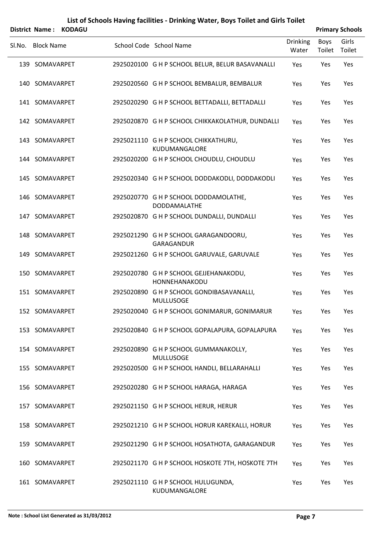|        | <b>District Name:</b> | <b>KODAGU</b> |                                                               |                          |                | <b>Primary Schools</b> |
|--------|-----------------------|---------------|---------------------------------------------------------------|--------------------------|----------------|------------------------|
| SI.No. | <b>Block Name</b>     |               | School Code School Name                                       | <b>Drinking</b><br>Water | Boys<br>Toilet | Girls<br>Toilet        |
|        | 139 SOMAVARPET        |               | 2925020100 G H P SCHOOL BELUR, BELUR BASAVANALLI              | Yes                      | Yes            | Yes                    |
|        | 140 SOMAVARPET        |               | 2925020560 G H P SCHOOL BEMBALUR, BEMBALUR                    | Yes                      | Yes            | Yes                    |
|        | 141 SOMAVARPET        |               | 2925020290 G H P SCHOOL BETTADALLI, BETTADALLI                | Yes                      | Yes            | Yes                    |
|        | 142 SOMAVARPET        |               | 2925020870 G H P SCHOOL CHIKKAKOLATHUR, DUNDALLI              | Yes                      | Yes            | Yes                    |
|        | 143 SOMAVARPET        |               | 2925021110 G H P SCHOOL CHIKKATHURU,<br>KUDUMANGALORE         | Yes                      | Yes            | Yes                    |
|        | 144 SOMAVARPET        |               | 2925020200 G H P SCHOOL CHOUDLU, CHOUDLU                      | Yes                      | Yes            | Yes                    |
|        | 145 SOMAVARPET        |               | 2925020340 G H P SCHOOL DODDAKODLI, DODDAKODLI                | Yes                      | Yes            | Yes                    |
|        | 146 SOMAVARPET        |               | 2925020770 G H P SCHOOL DODDAMOLATHE,<br><b>DODDAMALATHE</b>  | Yes                      | Yes            | Yes                    |
|        | 147 SOMAVARPET        |               | 2925020870 G H P SCHOOL DUNDALLI, DUNDALLI                    | Yes                      | Yes            | Yes                    |
|        | 148 SOMAVARPET        |               | 2925021290 G H P SCHOOL GARAGANDOORU,<br>GARAGANDUR           | Yes                      | Yes            | Yes                    |
|        | 149 SOMAVARPET        |               | 2925021260 G H P SCHOOL GARUVALE, GARUVALE                    | Yes                      | Yes            | Yes                    |
|        | 150 SOMAVARPET        |               | 2925020780 G H P SCHOOL GEJJEHANAKODU,<br>HONNEHANAKODU       | Yes                      | Yes            | Yes                    |
|        | 151 SOMAVARPET        |               | 2925020890 G H P SCHOOL GONDIBASAVANALLI,<br><b>MULLUSOGE</b> | Yes                      | Yes            | Yes                    |
|        | 152 SOMAVARPET        |               | 2925020040 G H P SCHOOL GONIMARUR, GONIMARUR                  | Yes                      | Yes            | Yes                    |
|        | 153 SOMAVARPET        |               | 2925020840 G H P SCHOOL GOPALAPURA, GOPALAPURA                | Yes                      | Yes            | Yes                    |
|        | 154 SOMAVARPET        |               | 2925020890 G H P SCHOOL GUMMANAKOLLY,<br><b>MULLUSOGE</b>     | Yes                      | Yes            | Yes                    |
|        | 155 SOMAVARPET        |               | 2925020500 G H P SCHOOL HANDLI, BELLARAHALLI                  | Yes                      | Yes            | Yes                    |
|        | 156 SOMAVARPET        |               | 2925020280 G H P SCHOOL HARAGA, HARAGA                        | Yes                      | Yes            | Yes                    |
|        | 157 SOMAVARPET        |               | 2925021150 G H P SCHOOL HERUR, HERUR                          | Yes                      | Yes            | Yes                    |
|        | 158 SOMAVARPET        |               | 2925021210 G H P SCHOOL HORUR KAREKALLI, HORUR                | Yes                      | Yes            | Yes                    |
|        | 159 SOMAVARPET        |               | 2925021290 G H P SCHOOL HOSATHOTA, GARAGANDUR                 | Yes                      | Yes            | Yes                    |
|        | 160 SOMAVARPET        |               | 2925021170 G H P SCHOOL HOSKOTE 7TH, HOSKOTE 7TH              | Yes                      | Yes            | Yes                    |
|        | 161 SOMAVARPET        |               | 2925021110 G H P SCHOOL HULUGUNDA,<br>KUDUMANGALORE           | Yes                      | Yes            | Yes                    |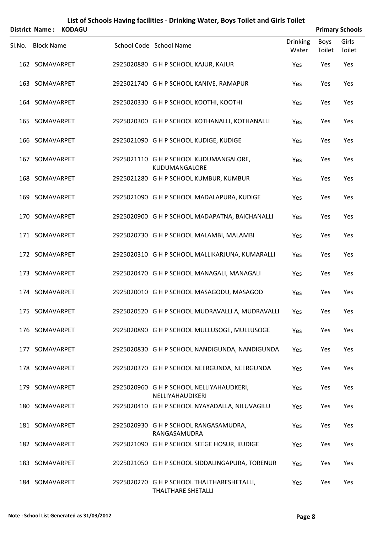|        | <b>District Name:</b> | <b>KODAGU</b> |                                                              |                          |                       | <b>Primary Schools</b> |
|--------|-----------------------|---------------|--------------------------------------------------------------|--------------------------|-----------------------|------------------------|
| SI.No. | <b>Block Name</b>     |               | School Code School Name                                      | <b>Drinking</b><br>Water | <b>Boys</b><br>Toilet | Girls<br>Toilet        |
|        | 162 SOMAVARPET        |               | 2925020880 G H P SCHOOL KAJUR, KAJUR                         | Yes                      | Yes                   | Yes                    |
|        | 163 SOMAVARPET        |               | 2925021740 G H P SCHOOL KANIVE, RAMAPUR                      | Yes                      | Yes                   | Yes                    |
|        | 164 SOMAVARPET        |               | 2925020330 G H P SCHOOL KOOTHI, KOOTHI                       | Yes                      | Yes                   | Yes                    |
|        | 165 SOMAVARPET        |               | 2925020300 G H P SCHOOL KOTHANALLI, KOTHANALLI               | Yes                      | Yes                   | Yes                    |
|        | 166 SOMAVARPET        |               | 2925021090 G H P SCHOOL KUDIGE, KUDIGE                       | Yes                      | Yes                   | Yes                    |
|        | 167 SOMAVARPET        |               | 2925021110 G H P SCHOOL KUDUMANGALORE,<br>KUDUMANGALORE      | Yes                      | Yes                   | Yes                    |
|        | 168 SOMAVARPET        |               | 2925021280 G H P SCHOOL KUMBUR, KUMBUR                       | Yes                      | Yes                   | Yes                    |
|        | 169 SOMAVARPET        |               | 2925021090 G H P SCHOOL MADALAPURA, KUDIGE                   | Yes                      | Yes                   | Yes                    |
|        | 170 SOMAVARPET        |               | 2925020900 G H P SCHOOL MADAPATNA, BAICHANALLI               | Yes                      | Yes                   | Yes                    |
|        | 171 SOMAVARPET        |               | 2925020730 G H P SCHOOL MALAMBI, MALAMBI                     | Yes                      | Yes                   | Yes                    |
|        | 172 SOMAVARPET        |               | 2925020310 G H P SCHOOL MALLIKARJUNA, KUMARALLI              | Yes                      | Yes                   | Yes                    |
| 173    | SOMAVARPET            |               | 2925020470 G H P SCHOOL MANAGALI, MANAGALI                   | Yes                      | Yes                   | Yes                    |
| 174    | SOMAVARPET            |               | 2925020010 G H P SCHOOL MASAGODU, MASAGOD                    | Yes                      | Yes                   | Yes                    |
|        | 175 SOMAVARPET        |               | 2925020520 G H P SCHOOL MUDRAVALLI A, MUDRAVALLI             | Yes                      | Yes                   | Yes                    |
|        | 176 SOMAVARPET        |               | 2925020890 G H P SCHOOL MULLUSOGE, MULLUSOGE                 | Yes                      | Yes                   | Yes                    |
| 177    | SOMAVARPET            |               | 2925020830 G H P SCHOOL NANDIGUNDA, NANDIGUNDA               | Yes                      | Yes                   | Yes                    |
|        | 178 SOMAVARPET        |               | 2925020370 G H P SCHOOL NEERGUNDA, NEERGUNDA                 | Yes                      | Yes                   | Yes                    |
| 179    | SOMAVARPET            |               | 2925020960 G H P SCHOOL NELLIYAHAUDKERI,<br>NELLIYAHAUDIKERI | Yes                      | Yes                   | Yes                    |
|        | 180 SOMAVARPET        |               | 2925020410 G H P SCHOOL NYAYADALLA, NILUVAGILU               | Yes                      | Yes                   | Yes                    |
|        | 181 SOMAVARPET        |               | 2925020930 G H P SCHOOL RANGASAMUDRA,<br>RANGASAMUDRA        | Yes                      | Yes                   | Yes                    |
|        | 182 SOMAVARPET        |               | 2925021090 G H P SCHOOL SEEGE HOSUR, KUDIGE                  | Yes                      | Yes                   | Yes                    |
| 183    | SOMAVARPET            |               | 2925021050 G H P SCHOOL SIDDALINGAPURA, TORENUR              | Yes                      | Yes                   | Yes                    |
|        | 184 SOMAVARPET        |               | 2925020270 G H P SCHOOL THALTHARESHETALLI,                   | Yes                      | Yes                   | Yes                    |

THALTHARE SHETALLI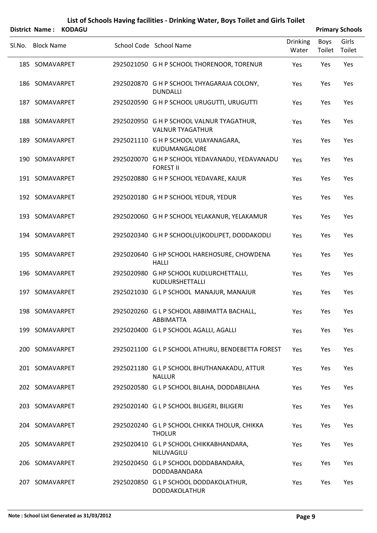|        |                   | District Name: KODAGU |                                                                      |                          |                | <b>Primary Schools</b> |
|--------|-------------------|-----------------------|----------------------------------------------------------------------|--------------------------|----------------|------------------------|
| SI.No. | <b>Block Name</b> |                       | School Code School Name                                              | <b>Drinking</b><br>Water | Boys<br>Toilet | Girls<br>Toilet        |
|        | 185 SOMAVARPET    |                       | 2925021050 G H P SCHOOL THORENOOR, TORENUR                           | Yes                      | Yes            | Yes                    |
|        | 186 SOMAVARPET    |                       | 2925020870 G H P SCHOOL THYAGARAJA COLONY,<br><b>DUNDALLI</b>        | Yes                      | Yes            | Yes                    |
|        | 187 SOMAVARPET    |                       | 2925020590 G H P SCHOOL URUGUTTI, URUGUTTI                           | Yes                      | Yes            | Yes                    |
|        | 188 SOMAVARPET    |                       | 2925020950 G H P SCHOOL VALNUR TYAGATHUR,<br><b>VALNUR TYAGATHUR</b> | Yes                      | Yes            | Yes                    |
|        | 189 SOMAVARPET    |                       | 2925021110 G H P SCHOOL VIJAYANAGARA,<br>KUDUMANGALORE               | Yes                      | Yes            | Yes                    |
|        | 190 SOMAVARPET    |                       | 2925020070 G H P SCHOOL YEDAVANADU, YEDAVANADU<br><b>FOREST II</b>   | Yes                      | Yes            | Yes                    |
|        | 191 SOMAVARPET    |                       | 2925020880 G H P SCHOOL YEDAVARE, KAJUR                              | Yes                      | Yes            | Yes                    |
|        | 192 SOMAVARPET    |                       | 2925020180 G H P SCHOOL YEDUR, YEDUR                                 | Yes                      | Yes            | Yes                    |
|        | 193 SOMAVARPET    |                       | 2925020060 G H P SCHOOL YELAKANUR, YELAKAMUR                         | Yes                      | Yes            | Yes                    |
|        | 194 SOMAVARPET    |                       | 2925020340 G H P SCHOOL(U)KODLIPET, DODDAKODLI                       | Yes                      | Yes            | Yes                    |
|        | 195 SOMAVARPET    |                       | 2925020640 G HP SCHOOL HAREHOSURE, CHOWDENA<br><b>HALLI</b>          | Yes                      | Yes            | Yes                    |
|        | 196 SOMAVARPET    |                       | 2925020980 G HP SCHOOL KUDLURCHETTALLI,<br>KUDLURSHETTALLI           | Yes                      | Yes            | Yes                    |
|        | 197 SOMAVARPET    |                       | 2925021030 G L P SCHOOL MANAJUR, MANAJUR                             | Yes                      | Yes            | Yes                    |
|        | 198 SOMAVARPET    |                       | 2925020260 G L P SCHOOL ABBIMATTA BACHALL,<br>ABBIMATTA              | Yes                      | Yes            | Yes                    |
|        | 199 SOMAVARPET    |                       | 2925020400 G L P SCHOOL AGALLI, AGALLI                               | Yes                      | Yes            | Yes                    |
|        | 200 SOMAVARPET    |                       | 2925021100 G L P SCHOOL ATHURU, BENDEBETTA FOREST                    | Yes                      | Yes            | Yes                    |
|        | 201 SOMAVARPET    |                       | 2925021180 G L P SCHOOL BHUTHANAKADU, ATTUR<br><b>NALLUR</b>         | Yes                      | Yes            | Yes                    |
|        | 202 SOMAVARPET    |                       | 2925020580 G L P SCHOOL BILAHA, DODDABILAHA                          | Yes                      | Yes            | Yes                    |
|        | 203 SOMAVARPET    |                       | 2925020140 G L P SCHOOL BILIGERI, BILIGERI                           | Yes                      | Yes            | Yes                    |
|        | 204 SOMAVARPET    |                       | 2925020240 G L P SCHOOL CHIKKA THOLUR, CHIKKA<br><b>THOLUR</b>       | Yes                      | Yes            | Yes                    |
|        | 205 SOMAVARPET    |                       | 2925020410 G L P SCHOOL CHIKKABHANDARA,<br>NILUVAGILU                | Yes                      | Yes            | Yes                    |
|        | 206 SOMAVARPET    |                       | 2925020450 GLP SCHOOL DODDABANDARA,<br>DODDABANDARA                  | Yes                      | Yes            | Yes                    |
|        | 207 SOMAVARPET    |                       | 2925020850 G L P SCHOOL DODDAKOLATHUR,<br>DODDAKOLATHUR              | Yes                      | Yes            | Yes                    |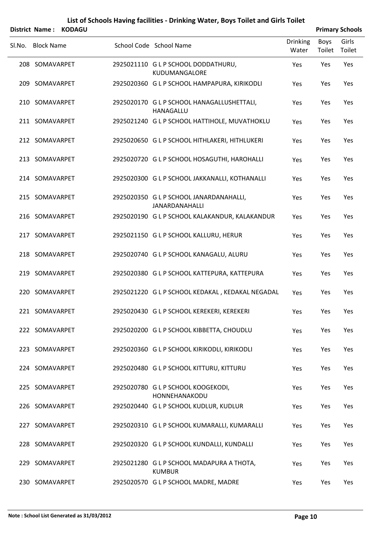|        | District Name:    | <b>KODAGU</b> |                                                                  |                          |                | <b>Primary Schools</b> |
|--------|-------------------|---------------|------------------------------------------------------------------|--------------------------|----------------|------------------------|
| SI.No. | <b>Block Name</b> |               | School Code School Name                                          | <b>Drinking</b><br>Water | Boys<br>Toilet | Girls<br>Toilet        |
|        | 208 SOMAVARPET    |               | 2925021110 G L P SCHOOL DODDATHURU,<br>KUDUMANGALORE             | Yes                      | Yes            | Yes                    |
|        | 209 SOMAVARPET    |               | 2925020360 G L P SCHOOL HAMPAPURA, KIRIKODLI                     | Yes                      | Yes            | Yes                    |
|        | 210 SOMAVARPET    |               | 2925020170 G L P SCHOOL HANAGALLUSHETTALI,<br>HANAGALLU          | Yes                      | Yes            | Yes                    |
|        | 211 SOMAVARPET    |               | 2925021240 G L P SCHOOL HATTIHOLE, MUVATHOKLU                    | Yes                      | Yes            | Yes                    |
|        | 212 SOMAVARPET    |               | 2925020650 G L P SCHOOL HITHLAKERI, HITHLUKERI                   | Yes                      | Yes            | Yes                    |
|        | 213 SOMAVARPET    |               | 2925020720 G L P SCHOOL HOSAGUTHI, HAROHALLI                     | Yes                      | Yes            | Yes                    |
|        | 214 SOMAVARPET    |               | 2925020300 G L P SCHOOL JAKKANALLI, KOTHANALLI                   | Yes                      | Yes            | Yes                    |
|        | 215 SOMAVARPET    |               | 2925020350 G L P SCHOOL JANARDANAHALLI,<br><b>JANARDANAHALLI</b> | Yes                      | Yes            | Yes                    |
|        | 216 SOMAVARPET    |               | 2925020190 G L P SCHOOL KALAKANDUR, KALAKANDUR                   | Yes                      | Yes            | Yes                    |
|        | 217 SOMAVARPET    |               | 2925021150 G L P SCHOOL KALLURU, HERUR                           | Yes                      | Yes            | Yes                    |
|        | 218 SOMAVARPET    |               | 2925020740 G L P SCHOOL KANAGALU, ALURU                          | Yes                      | Yes            | Yes                    |
|        | 219 SOMAVARPET    |               | 2925020380 G L P SCHOOL KATTEPURA, KATTEPURA                     | Yes                      | Yes            | Yes                    |
|        | 220 SOMAVARPET    |               | 2925021220 G L P SCHOOL KEDAKAL, KEDAKAL NEGADAL                 | Yes                      | Yes            | Yes                    |
|        | 221 SOMAVARPET    |               | 2925020430 G L P SCHOOL KEREKERI, KEREKERI                       | Yes                      | Yes            | Yes                    |
|        | 222 SOMAVARPET    |               | 2925020200 G L P SCHOOL KIBBETTA, CHOUDLU                        | Yes                      | Yes            | Yes                    |
|        | 223 SOMAVARPET    |               | 2925020360 G L P SCHOOL KIRIKODLI, KIRIKODLI                     | Yes                      | Yes            | Yes                    |
|        | 224 SOMAVARPET    |               | 2925020480 G L P SCHOOL KITTURU, KITTURU                         | Yes                      | Yes            | Yes                    |
|        | 225 SOMAVARPET    |               | 2925020780 G L P SCHOOL KOOGEKODI,<br>HONNEHANAKODU              | Yes                      | Yes            | Yes                    |
|        | 226 SOMAVARPET    |               | 2925020440 GLP SCHOOL KUDLUR, KUDLUR                             | Yes                      | Yes            | Yes                    |
|        | 227 SOMAVARPET    |               | 2925020310 G L P SCHOOL KUMARALLI, KUMARALLI                     | Yes                      | Yes            | Yes                    |
|        | 228 SOMAVARPET    |               | 2925020320 G L P SCHOOL KUNDALLI, KUNDALLI                       | Yes                      | Yes            | Yes                    |
|        | 229 SOMAVARPET    |               | 2925021280 G L P SCHOOL MADAPURA A THOTA,<br><b>KUMBUR</b>       | Yes                      | Yes            | Yes                    |
|        | 230 SOMAVARPET    |               | 2925020570 G L P SCHOOL MADRE, MADRE                             | Yes                      | Yes            | Yes                    |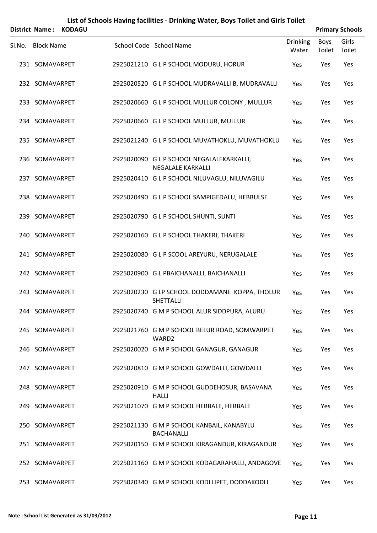#### **List of Schools Having facilities ‐ Drinking Water, Boys Toilet and Girls Toilet District Name : KODAGU Primary Schools**

| טואשט . האטוופיש  |                                                                       |                          |                | <b>FIIIIIAI Y JUIUUIS</b> |
|-------------------|-----------------------------------------------------------------------|--------------------------|----------------|---------------------------|
| SI.No. Block Name | School Code School Name                                               | <b>Drinking</b><br>Water | Boys<br>Toilet | Girls<br>Toilet           |
| 231 SOMAVARPET    | 2925021210 G L P SCHOOL MODURU, HORUR                                 | Yes                      | Yes            | Yes                       |
| 232 SOMAVARPET    | 2925020520 G L P SCHOOL MUDRAVALLI B, MUDRAVALLI                      | Yes                      | Yes            | Yes                       |
| 233 SOMAVARPET    | 2925020660 G L P SCHOOL MULLUR COLONY, MULLUR                         | Yes                      | Yes            | Yes                       |
| 234 SOMAVARPET    | 2925020660 G L P SCHOOL MULLUR, MULLUR                                | Yes                      | Yes            | Yes                       |
| 235 SOMAVARPET    | 2925021240 G L P SCHOOL MUVATHOKLU, MUVATHOKLU                        | Yes                      | Yes            | Yes                       |
| 236 SOMAVARPET    | 2925020090 G L P SCHOOL NEGALALEKARKALLI,<br><b>NEGALALE KARKALLI</b> | Yes                      | Yes            | Yes                       |
| 237 SOMAVARPET    | 2925020410 G L P SCHOOL NILUVAGLU, NILUVAGILU                         | Yes                      | Yes            | Yes                       |
| 238 SOMAVARPET    | 2925020490 G L P SCHOOL SAMPIGEDALU, HEBBULSE                         | Yes                      | Yes            | Yes                       |
| 239 SOMAVARPET    | 2925020790 G L P SCHOOL SHUNTI, SUNTI                                 | Yes                      | Yes            | Yes                       |
| 240 SOMAVARPET    | 2925020160 G L P SCHOOL THAKERI, THAKERI                              | Yes                      | Yes            | Yes                       |
| 241 SOMAVARPET    | 2925020080 G L P SCOOL AREYURU, NERUGALALE                            | Yes                      | Yes            | Yes                       |
| 242 SOMAVARPET    | 2925020900 G L PBAICHANALLI, BAICHANALLI                              | Yes                      | Yes            | Yes                       |
| 243 SOMAVARPET    | 2925020230 G LP SCHOOL DODDAMANE KOPPA, THOLUR<br><b>SHETTALLI</b>    | Yes                      | Yes            | Yes                       |
| 244 SOMAVARPET    | 2925020740 G M P SCHOOL ALUR SIDDPURA, ALURU                          | Yes                      | Yes            | Yes                       |
| 245 SOMAVARPET    | 2925021760 G M P SCHOOL BELUR ROAD, SOMWARPET<br>WARD <sub>2</sub>    | Yes                      | Yes            | <b>Yes</b>                |
| 246 SOMAVARPET    | 2925020020 G M P SCHOOL GANAGUR, GANAGUR                              | Yes                      | Yes            | Yes                       |
| 247 SOMAVARPET    | 2925020810 G M P SCHOOL GOWDALLI, GOWDALLI                            | <b>Yes</b>               | Yes            | <b>Yes</b>                |
| 248 SOMAVARPET    | 2925020910 G M P SCHOOL GUDDEHOSUR, BASAVANA<br><b>HALLI</b>          | Yes                      | Yes            | Yes                       |
| 249 SOMAVARPET    | 2925021070 G M P SCHOOL HEBBALE, HEBBALE                              | <b>Yes</b>               | Yes            | <b>Yes</b>                |
| 250 SOMAVARPET    | 2925021130 G M P SCHOOL KANBAIL, KANABYLU<br><b>BACHANALLI</b>        | Yes                      | Yes            | Yes                       |
| 251 SOMAVARPET    | 2925020150 G M P SCHOOL KIRAGANDUR, KIRAGANDUR                        | <b>Yes</b>               | Yes            | <b>Yes</b>                |
| 252 SOMAVARPET    | 2925021160 G M P SCHOOL KODAGARAHALLI, ANDAGOVE                       | Yes                      | Yes            | Yes                       |
| 253 SOMAVARPET    | 2925020340 G M P SCHOOL KODLLIPET, DODDAKODLI                         | Yes                      | Yes            | Yes                       |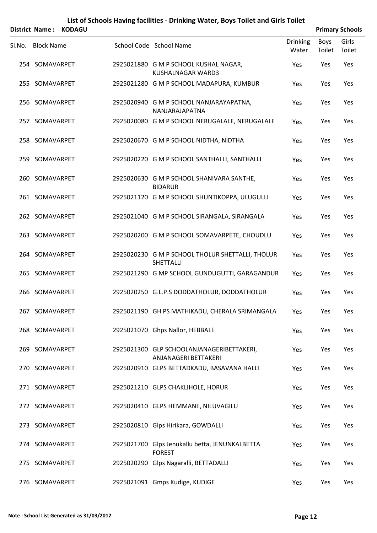#### **List of Schools Having facilities ‐ Drinking Water, Boys Toilet and Girls Toilet District Name : KODAGU Primary Schools**

|        | PISUILL IVAIIIC. NUPAUU |  |                                                                      |                          |                | <b>Fillingiy JUNUUIS</b> |
|--------|-------------------------|--|----------------------------------------------------------------------|--------------------------|----------------|--------------------------|
| Sl.No. | <b>Block Name</b>       |  | School Code School Name                                              | <b>Drinking</b><br>Water | Boys<br>Toilet | Girls<br>Toilet          |
|        | 254 SOMAVARPET          |  | 2925021880 G M P SCHOOL KUSHAL NAGAR,<br><b>KUSHALNAGAR WARD3</b>    | Yes                      | Yes            | Yes                      |
|        | 255 SOMAVARPET          |  | 2925021280 G M P SCHOOL MADAPURA, KUMBUR                             | <b>Yes</b>               | Yes            | Yes                      |
|        | 256 SOMAVARPET          |  | 2925020940 G M P SCHOOL NANJARAYAPATNA,<br>NANJARAJAPATNA            | Yes                      | Yes            | Yes                      |
|        | 257 SOMAVARPET          |  | 2925020080 G M P SCHOOL NERUGALALE, NERUGALALE                       | <b>Yes</b>               | Yes            | Yes                      |
|        | 258 SOMAVARPET          |  | 2925020670 G M P SCHOOL NIDTHA, NIDTHA                               | Yes                      | Yes            | Yes                      |
|        | 259 SOMAVARPET          |  | 2925020220 G M P SCHOOL SANTHALLI, SANTHALLI                         | Yes                      | Yes            | Yes                      |
|        | 260 SOMAVARPET          |  | 2925020630 G M P SCHOOL SHANIVARA SANTHE,<br><b>BIDARUR</b>          | Yes                      | Yes            | Yes                      |
|        | 261 SOMAVARPET          |  | 2925021120 G M P SCHOOL SHUNTIKOPPA, ULUGULLI                        | Yes                      | Yes            | Yes                      |
|        | 262 SOMAVARPET          |  | 2925021040 G M P SCHOOL SIRANGALA, SIRANGALA                         | Yes                      | Yes            | Yes                      |
|        | 263 SOMAVARPET          |  | 2925020200 G M P SCHOOL SOMAVARPETE, CHOUDLU                         | Yes                      | Yes            | Yes                      |
|        | 264 SOMAVARPET          |  | 2925020230 G M P SCHOOL THOLUR SHETTALLI, THOLUR<br><b>SHETTALLI</b> | <b>Yes</b>               | Yes            | Yes                      |
|        | 265 SOMAVARPET          |  | 2925021290 G MP SCHOOL GUNDUGUTTI, GARAGANDUR                        | Yes                      | Yes            | Yes                      |
|        | 266 SOMAVARPET          |  | 2925020250 G.L.P.S DODDATHOLUR, DODDATHOLUR                          | Yes                      | Yes            | Yes                      |
|        | 267 SOMAVARPET          |  | 2925021190 GH PS MATHIKADU, CHERALA SRIMANGALA                       | Yes                      | Yes            | Yes                      |
|        | 268 SOMAVARPET          |  | 2925021070 Ghps Nallor, HEBBALE                                      | <b>Yes</b>               | Yes            | Yes                      |
|        | 269 SOMAVARPET          |  | 2925021300 GLP SCHOOLANJANAGERIBETTAKERI,<br>ANJANAGERI BETTAKERI    | Yes                      | Yes            | Yes                      |
|        | 270 SOMAVARPET          |  | 2925020910 GLPS BETTADKADU, BASAVANA HALLI                           | <b>Yes</b>               | Yes            | Yes                      |
|        | 271 SOMAVARPET          |  | 2925021210 GLPS CHAKLIHOLE, HORUR                                    | <b>Yes</b>               | Yes            | Yes                      |
|        | 272 SOMAVARPET          |  | 2925020410 GLPS HEMMANE, NILUVAGILU                                  | Yes                      | Yes            | Yes                      |
|        | 273 SOMAVARPET          |  | 2925020810 Glps Hirikara, GOWDALLI                                   | Yes                      | Yes            | Yes                      |
|        | 274 SOMAVARPET          |  | 2925021700 Glps Jenukallu betta, JENUNKALBETTA<br><b>FOREST</b>      | Yes                      | Yes            | Yes                      |
|        | 275 SOMAVARPET          |  | 2925020290 Glps Nagaralli, BETTADALLI                                | <b>Yes</b>               | Yes            | Yes                      |
|        | 276 SOMAVARPET          |  | 2925021091 Gmps Kudige, KUDIGE                                       | Yes                      | Yes            | Yes                      |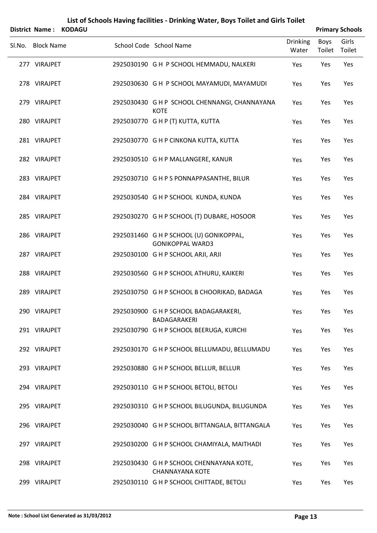|        |                   | District Name: KODAGU |                                                                    |                          |                | <b>Primary Schools</b> |
|--------|-------------------|-----------------------|--------------------------------------------------------------------|--------------------------|----------------|------------------------|
| SI.No. | <b>Block Name</b> |                       | School Code School Name                                            | <b>Drinking</b><br>Water | Boys<br>Toilet | Girls<br>Toilet        |
|        | 277 VIRAJPET      |                       | 2925030190 G H P SCHOOL HEMMADU, NALKERI                           | Yes                      | Yes            | Yes                    |
|        | 278 VIRAJPET      |                       | 2925030630 GH P SCHOOL MAYAMUDI, MAYAMUDI                          | Yes                      | Yes            | Yes                    |
|        | 279 VIRAJPET      |                       | 2925030430 G H P SCHOOL CHENNANGI, CHANNAYANA<br><b>KOTE</b>       | Yes                      | Yes            | Yes                    |
|        | 280 VIRAJPET      |                       | 2925030770 G H P (T) KUTTA, KUTTA                                  | Yes                      | Yes            | Yes                    |
|        | 281 VIRAJPET      |                       | 2925030770 G H P CINKONA KUTTA, KUTTA                              | Yes                      | Yes            | Yes                    |
|        | 282 VIRAJPET      |                       | 2925030510 G H P MALLANGERE, KANUR                                 | Yes                      | Yes            | Yes                    |
|        | 283 VIRAJPET      |                       | 2925030710 G H P S PONNAPPASANTHE, BILUR                           | Yes                      | Yes            | Yes                    |
|        | 284 VIRAJPET      |                       | 2925030540 G H P SCHOOL KUNDA, KUNDA                               | Yes                      | Yes            | Yes                    |
|        | 285 VIRAJPET      |                       | 2925030270 G H P SCHOOL (T) DUBARE, HOSOOR                         | Yes                      | Yes            | Yes                    |
|        | 286 VIRAJPET      |                       | 2925031460 G H P SCHOOL (U) GONIKOPPAL,<br><b>GONIKOPPAL WARD3</b> | Yes                      | Yes            | Yes                    |
|        | 287 VIRAJPET      |                       | 2925030100 G H P SCHOOL ARJI, ARJI                                 | Yes                      | Yes            | Yes                    |
|        | 288 VIRAJPET      |                       | 2925030560 G H P SCHOOL ATHURU, KAIKERI                            | Yes                      | Yes            | Yes                    |
|        | 289 VIRAJPET      |                       | 2925030750 G H P SCHOOL B CHOORIKAD, BADAGA                        | Yes                      | Yes            | Yes                    |
|        | 290 VIRAJPET      |                       | 2925030900 G H P SCHOOL BADAGARAKERI,<br>BADAGARAKERI              | Yes                      | Yes            | Yes                    |
|        | 291 VIRAJPET      |                       | 2925030790 G H P SCHOOL BEERUGA, KURCHI                            | Yes                      | Yes            | Yes                    |
|        | 292 VIRAJPET      |                       | 2925030170 G H P SCHOOL BELLUMADU, BELLUMADU                       | Yes                      | Yes            | Yes                    |
|        | 293 VIRAJPET      |                       | 2925030880 G H P SCHOOL BELLUR, BELLUR                             | Yes                      | Yes            | Yes                    |
|        | 294 VIRAJPET      |                       | 2925030110 G H P SCHOOL BETOLI, BETOLI                             | Yes                      | Yes            | Yes                    |
|        | 295 VIRAJPET      |                       | 2925030310 G H P SCHOOL BILUGUNDA, BILUGUNDA                       | Yes                      | Yes            | Yes                    |
|        | 296 VIRAJPET      |                       | 2925030040 G H P SCHOOL BITTANGALA, BITTANGALA                     | Yes                      | Yes            | Yes                    |
|        | 297 VIRAJPET      |                       | 2925030200 G H P SCHOOL CHAMIYALA, MAITHADI                        | Yes                      | Yes            | Yes                    |
|        | 298 VIRAJPET      |                       | 2925030430 G H P SCHOOL CHENNAYANA KOTE,<br><b>CHANNAYANA KOTE</b> | Yes                      | Yes            | Yes                    |
|        | 299 VIRAJPET      |                       | 2925030110 G H P SCHOOL CHITTADE, BETOLI                           | Yes                      | Yes            | Yes                    |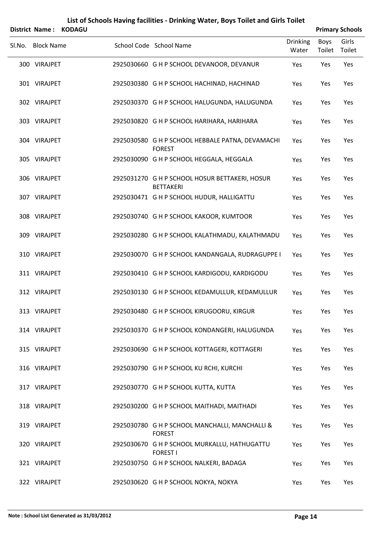|        | <b>District Name:</b> | <b>KODAGU</b> |                                                                    |                          |                       | <b>Primary Schools</b> |
|--------|-----------------------|---------------|--------------------------------------------------------------------|--------------------------|-----------------------|------------------------|
| SI.No. | <b>Block Name</b>     |               | School Code School Name                                            | <b>Drinking</b><br>Water | <b>Boys</b><br>Toilet | Girls<br>Toilet        |
|        | 300 VIRAJPET          |               | 2925030660 G H P SCHOOL DEVANOOR, DEVANUR                          | Yes                      | Yes                   | Yes                    |
|        | 301 VIRAJPET          |               | 2925030380 G H P SCHOOL HACHINAD, HACHINAD                         | Yes                      | Yes                   | Yes                    |
|        | 302 VIRAJPET          |               | 2925030370 G H P SCHOOL HALUGUNDA, HALUGUNDA                       | Yes                      | Yes                   | Yes                    |
|        | 303 VIRAJPET          |               | 2925030820 G H P SCHOOL HARIHARA, HARIHARA                         | Yes                      | Yes                   | Yes                    |
|        | 304 VIRAJPET          |               | 2925030580 G H P SCHOOL HEBBALE PATNA, DEVAMACHI<br><b>FOREST</b>  | Yes                      | Yes                   | Yes                    |
|        | 305 VIRAJPET          |               | 2925030090 G H P SCHOOL HEGGALA, HEGGALA                           | Yes                      | Yes                   | Yes                    |
|        | 306 VIRAJPET          |               | 2925031270 G H P SCHOOL HOSUR BETTAKERI, HOSUR<br><b>BETTAKERI</b> | Yes                      | Yes                   | Yes                    |
|        | 307 VIRAJPET          |               | 2925030471 G H P SCHOOL HUDUR, HALLIGATTU                          | Yes                      | Yes                   | Yes                    |
|        | 308 VIRAJPET          |               | 2925030740 G H P SCHOOL KAKOOR, KUMTOOR                            | Yes                      | Yes                   | Yes                    |
|        | 309 VIRAJPET          |               | 2925030280 G H P SCHOOL KALATHMADU, KALATHMADU                     | Yes                      | Yes                   | Yes                    |
|        | 310 VIRAJPET          |               | 2925030070 G H P SCHOOL KANDANGALA, RUDRAGUPPE I                   | Yes                      | Yes                   | Yes                    |
|        | 311 VIRAJPET          |               | 2925030410 G H P SCHOOL KARDIGODU, KARDIGODU                       | Yes                      | Yes                   | Yes                    |
|        | 312 VIRAJPET          |               | 2925030130 G H P SCHOOL KEDAMULLUR, KEDAMULLUR                     | Yes                      | Yes                   | Yes                    |
|        | 313 VIRAJPET          |               | 2925030480 G H P SCHOOL KIRUGOORU, KIRGUR                          | Yes                      | Yes                   | Yes                    |
|        | 314 VIRAJPET          |               | 2925030370 G H P SCHOOL KONDANGERI, HALUGUNDA                      | Yes                      | Yes                   | Yes                    |
|        | 315 VIRAJPET          |               | 2925030690 G H P SCHOOL KOTTAGERI, KOTTAGERI                       | Yes                      | Yes                   | Yes                    |
|        | 316 VIRAJPET          |               | 2925030790 G H P SCHOOL KU RCHI, KURCHI                            | Yes                      | Yes                   | Yes                    |
|        | 317 VIRAJPET          |               | 2925030770 G H P SCHOOL KUTTA, KUTTA                               | Yes                      | Yes                   | Yes                    |
|        | 318 VIRAJPET          |               | 2925030200 G H P SCHOOL MAITHADI, MAITHADI                         | Yes                      | Yes                   | Yes                    |
|        | 319 VIRAJPET          |               | 2925030780 G H P SCHOOL MANCHALLI, MANCHALLI &<br><b>FOREST</b>    | Yes                      | Yes                   | Yes                    |
|        | 320 VIRAJPET          |               | 2925030670 G H P SCHOOL MURKALLU, HATHUGATTU<br><b>FOREST I</b>    | Yes                      | Yes                   | Yes                    |
|        | 321 VIRAJPET          |               | 2925030750 G H P SCHOOL NALKERI, BADAGA                            | Yes                      | Yes                   | Yes                    |
|        | 322 VIRAJPET          |               | 2925030620 G H P SCHOOL NOKYA, NOKYA                               | Yes                      | Yes                   | Yes                    |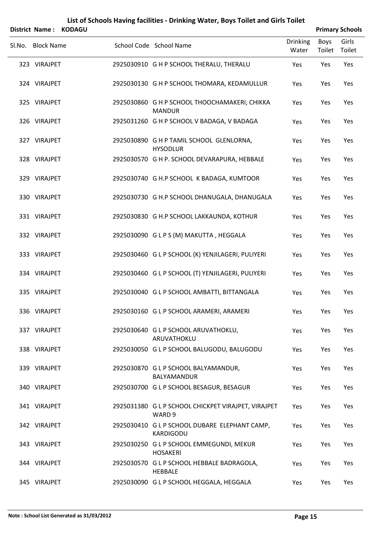|        | District Name:    | <b>KODAGU</b> |                                                                   |                          |                | <b>Primary Schools</b> |
|--------|-------------------|---------------|-------------------------------------------------------------------|--------------------------|----------------|------------------------|
| Sl.No. | <b>Block Name</b> |               | School Code School Name                                           | <b>Drinking</b><br>Water | Boys<br>Toilet | Girls<br>Toilet        |
|        | 323 VIRAJPET      |               | 2925030910 G H P SCHOOL THERALU, THERALU                          | Yes                      | Yes            | Yes                    |
|        | 324 VIRAJPET      |               | 2925030130 G H P SCHOOL THOMARA, KEDAMULLUR                       | Yes                      | Yes            | Yes                    |
|        | 325 VIRAJPET      |               | 2925030860 G H P SCHOOL THOOCHAMAKERI, CHIKKA<br><b>MANDUR</b>    | Yes                      | Yes            | Yes                    |
|        | 326 VIRAJPET      |               | 2925031260 G H P SCHOOL V BADAGA, V BADAGA                        | Yes                      | Yes            | Yes                    |
|        | 327 VIRAJPET      |               | 2925030890 G H P TAMIL SCHOOL GLENLORNA,<br><b>HYSODLUR</b>       | Yes                      | Yes            | Yes                    |
|        | 328 VIRAJPET      |               | 2925030570 G H P. SCHOOL DEVARAPURA, HEBBALE                      | Yes                      | Yes            | Yes                    |
|        | 329 VIRAJPET      |               | 2925030740 G H.P SCHOOL K BADAGA, KUMTOOR                         | Yes                      | Yes            | Yes                    |
|        | 330 VIRAJPET      |               | 2925030730 G H.P SCHOOL DHANUGALA, DHANUGALA                      | Yes                      | Yes            | Yes                    |
|        | 331 VIRAJPET      |               | 2925030830 G H.P SCHOOL LAKKAUNDA, KOTHUR                         | Yes                      | Yes            | Yes                    |
|        | 332 VIRAJPET      |               | 2925030090 GLPS (M) MAKUTTA, HEGGALA                              | Yes                      | Yes            | Yes                    |
|        | 333 VIRAJPET      |               | 2925030460 G L P SCHOOL (K) YENJILAGERI, PULIYERI                 | Yes                      | Yes            | Yes                    |
|        | 334 VIRAJPET      |               | 2925030460 G L P SCHOOL (T) YENJILAGERI, PULIYERI                 | Yes                      | Yes            | Yes                    |
|        | 335 VIRAJPET      |               | 2925030040 G L P SCHOOL AMBATTI, BITTANGALA                       | Yes                      | Yes            | Yes                    |
|        | 336 VIRAJPET      |               | 2925030160 G L P SCHOOL ARAMERI, ARAMERI                          | Yes                      | Yes            | Yes                    |
|        | 337 VIRAJPET      |               | 2925030640 G L P SCHOOL ARUVATHOKLU,<br>ARUVATHOKLU               | Yes                      | Yes            | Yes                    |
|        | 338 VIRAJPET      |               | 2925030050 G L P SCHOOL BALUGODU, BALUGODU                        | Yes                      | Yes            | Yes                    |
|        | 339 VIRAJPET      |               | 2925030870 G L P SCHOOL BALYAMANDUR,<br>BALYAMANDUR               | Yes                      | Yes            | Yes                    |
|        | 340 VIRAJPET      |               | 2925030700 G L P SCHOOL BESAGUR, BESAGUR                          | Yes                      | Yes            | Yes                    |
|        | 341 VIRAJPET      |               | 2925031380 G L P SCHOOL CHICKPET VIRAJPET, VIRAJPET<br>WARD 9     | Yes                      | Yes            | Yes                    |
|        | 342 VIRAJPET      |               | 2925030410 G L P SCHOOL DUBARE ELEPHANT CAMP,<br><b>KARDIGODU</b> | Yes                      | Yes            | Yes                    |
|        | 343 VIRAJPET      |               | 2925030250 G L P SCHOOL EMMEGUNDI, MEKUR<br><b>HOSAKERI</b>       | Yes                      | Yes            | Yes                    |
|        | 344 VIRAJPET      |               | 2925030570 G L P SCHOOL HEBBALE BADRAGOLA,<br><b>HEBBALE</b>      | Yes                      | Yes            | Yes                    |
|        | 345 VIRAJPET      |               | 2925030090 G L P SCHOOL HEGGALA, HEGGALA                          | Yes                      | Yes            | Yes                    |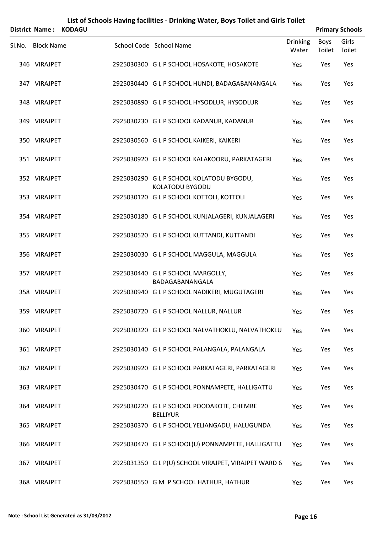|        | <b>District Name:</b> | <b>KODAGU</b> |                                                              |                          |                       | <b>Primary Schools</b> |
|--------|-----------------------|---------------|--------------------------------------------------------------|--------------------------|-----------------------|------------------------|
| Sl.No. | <b>Block Name</b>     |               | School Code School Name                                      | <b>Drinking</b><br>Water | <b>Boys</b><br>Toilet | Girls<br>Toilet        |
|        | 346 VIRAJPET          |               | 2925030300 G L P SCHOOL HOSAKOTE, HOSAKOTE                   | Yes                      | Yes                   | Yes                    |
|        | 347 VIRAJPET          |               | 2925030440 G L P SCHOOL HUNDI, BADAGABANANGALA               | Yes                      | Yes                   | Yes                    |
|        | 348 VIRAJPET          |               | 2925030890 G L P SCHOOL HYSODLUR, HYSODLUR                   | Yes                      | Yes                   | Yes                    |
|        | 349 VIRAJPET          |               | 2925030230 G L P SCHOOL KADANUR, KADANUR                     | Yes                      | Yes                   | Yes                    |
|        | 350 VIRAJPET          |               | 2925030560 G L P SCHOOL KAIKERI, KAIKERI                     | Yes                      | Yes                   | Yes                    |
|        | 351 VIRAJPET          |               | 2925030920 G L P SCHOOL KALAKOORU, PARKATAGERI               | Yes                      | Yes                   | Yes                    |
|        | 352 VIRAJPET          |               | 2925030290 G L P SCHOOL KOLATODU BYGODU,<br>KOLATODU BYGODU  | Yes                      | Yes                   | Yes                    |
|        | 353 VIRAJPET          |               | 2925030120 G L P SCHOOL KOTTOLI, KOTTOLI                     | Yes                      | Yes                   | Yes                    |
|        | 354 VIRAJPET          |               | 2925030180 G L P SCHOOL KUNJALAGERI, KUNJALAGERI             | Yes                      | Yes                   | Yes                    |
|        | 355 VIRAJPET          |               | 2925030520 G L P SCHOOL KUTTANDI, KUTTANDI                   | Yes                      | Yes                   | Yes                    |
|        | 356 VIRAJPET          |               | 2925030030 G L P SCHOOL MAGGULA, MAGGULA                     | Yes                      | Yes                   | Yes                    |
|        | 357 VIRAJPET          |               | 2925030440 G L P SCHOOL MARGOLLY,<br>BADAGABANANGALA         | Yes                      | Yes                   | Yes                    |
|        | 358 VIRAJPET          |               | 2925030940 G L P SCHOOL NADIKERI, MUGUTAGERI                 | Yes                      | Yes                   | Yes                    |
|        | 359 VIRAJPET          |               | 2925030720 G L P SCHOOL NALLUR, NALLUR                       | Yes                      | Yes                   | Yes                    |
|        | 360 VIRAJPET          |               | 2925030320 G L P SCHOOL NALVATHOKLU, NALVATHOKLU             | Yes                      | Yes                   | Yes                    |
|        | 361 VIRAJPET          |               | 2925030140 G L P SCHOOL PALANGALA, PALANGALA                 | Yes                      | Yes                   | Yes                    |
|        | 362 VIRAJPET          |               | 2925030920 G L P SCHOOL PARKATAGERI, PARKATAGERI             | Yes                      | Yes                   | Yes                    |
|        | 363 VIRAJPET          |               | 2925030470 G L P SCHOOL PONNAMPETE, HALLIGATTU               | Yes                      | Yes                   | Yes                    |
|        | 364 VIRAJPET          |               | 2925030220 G L P SCHOOL POODAKOTE, CHEMBE<br><b>BELLIYUR</b> | Yes                      | Yes                   | Yes                    |
|        | 365 VIRAJPET          |               | 2925030370 G L P SCHOOL YELIANGADU, HALUGUNDA                | Yes                      | Yes                   | Yes                    |
|        | 366 VIRAJPET          |               | 2925030470 G L P SCHOOL(U) PONNAMPETE, HALLIGATTU            | Yes                      | Yes                   | Yes                    |
|        | 367 VIRAJPET          |               | 2925031350 G L P(U) SCHOOL VIRAJPET, VIRAJPET WARD 6         | Yes                      | Yes                   | Yes                    |
|        | 368 VIRAJPET          |               | 2925030550 G M P SCHOOL HATHUR, HATHUR                       | Yes                      | Yes                   | Yes                    |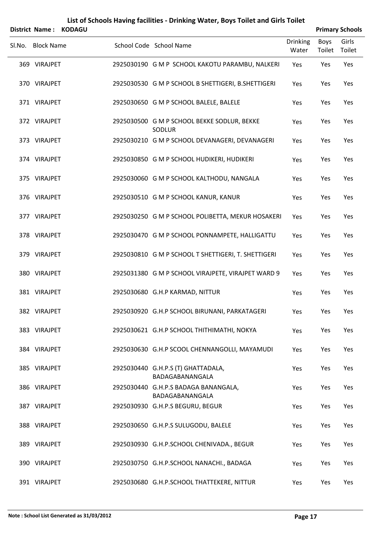|        | <b>District Name:</b> | <b>KODAGU</b> |                                                         |                          |                       | <b>Primary Schools</b> |
|--------|-----------------------|---------------|---------------------------------------------------------|--------------------------|-----------------------|------------------------|
| Sl.No. | <b>Block Name</b>     |               | School Code School Name                                 | <b>Drinking</b><br>Water | <b>Boys</b><br>Toilet | Girls<br>Toilet        |
|        | 369 VIRAJPET          |               | 2925030190 G M P SCHOOL KAKOTU PARAMBU, NALKERI         | Yes                      | Yes                   | Yes                    |
|        | 370 VIRAJPET          |               | 2925030530 G M P SCHOOL B SHETTIGERI, B.SHETTIGERI      | Yes                      | Yes                   | Yes                    |
|        | 371 VIRAJPET          |               | 2925030650 G M P SCHOOL BALELE, BALELE                  | Yes                      | Yes                   | Yes                    |
|        | 372 VIRAJPET          |               | 2925030500 G M P SCHOOL BEKKE SODLUR, BEKKE<br>SODLUR   | Yes                      | Yes                   | Yes                    |
|        | 373 VIRAJPET          |               | 2925030210 G M P SCHOOL DEVANAGERI, DEVANAGERI          | Yes                      | Yes                   | Yes                    |
|        | 374 VIRAJPET          |               | 2925030850 G M P SCHOOL HUDIKERI, HUDIKERI              | Yes                      | Yes                   | Yes                    |
|        | 375 VIRAJPET          |               | 2925030060 G M P SCHOOL KALTHODU, NANGALA               | Yes                      | Yes                   | Yes                    |
|        | 376 VIRAJPET          |               | 2925030510 G M P SCHOOL KANUR, KANUR                    | Yes                      | Yes                   | Yes                    |
|        | 377 VIRAJPET          |               | 2925030250 G M P SCHOOL POLIBETTA, MEKUR HOSAKERI       | Yes                      | Yes                   | Yes                    |
|        | 378 VIRAJPET          |               | 2925030470 G M P SCHOOL PONNAMPETE, HALLIGATTU          | Yes                      | Yes                   | Yes                    |
|        | 379 VIRAJPET          |               | 2925030810 G M P SCHOOL T SHETTIGERI, T. SHETTIGERI     | Yes                      | Yes                   | Yes                    |
|        | 380 VIRAJPET          |               | 2925031380 G M P SCHOOL VIRAJPETE, VIRAJPET WARD 9      | Yes                      | Yes                   | Yes                    |
|        | 381 VIRAJPET          |               | 2925030680 G.H.P KARMAD, NITTUR                         | Yes                      | Yes                   | Yes                    |
|        | 382 VIRAJPET          |               | 2925030920 G.H.P SCHOOL BIRUNANI, PARKATAGERI           | Yes                      | Yes                   | Yes                    |
|        | 383 VIRAJPET          |               | 2925030621 G.H.P SCHOOL THITHIMATHI, NOKYA              | Yes                      | Yes                   | Yes                    |
|        | 384 VIRAJPET          |               | 2925030630 G.H.P SCOOL CHENNANGOLLI, MAYAMUDI           | Yes                      | Yes                   | Yes                    |
|        | 385 VIRAJPET          |               | 2925030440 G.H.P.S (T) GHATTADALA,<br>BADAGABANANGALA   | Yes                      | Yes                   | Yes                    |
|        | 386 VIRAJPET          |               | 2925030440 G.H.P.S BADAGA BANANGALA,<br>BADAGABANANGALA | Yes                      | Yes                   | Yes                    |
|        | 387 VIRAJPET          |               | 2925030930 G.H.P.S BEGURU, BEGUR                        | Yes                      | Yes                   | Yes                    |
|        | 388 VIRAJPET          |               | 2925030650 G.H.P.S SULUGODU, BALELE                     | Yes                      | Yes                   | Yes                    |
|        | 389 VIRAJPET          |               | 2925030930 G.H.P.SCHOOL CHENIVADA., BEGUR               | Yes                      | Yes                   | Yes                    |
|        | 390 VIRAJPET          |               | 2925030750 G.H.P.SCHOOL NANACHI., BADAGA                | Yes                      | Yes                   | Yes                    |
|        | 391 VIRAJPET          |               | 2925030680 G.H.P.SCHOOL THATTEKERE, NITTUR              | Yes                      | Yes                   | Yes                    |